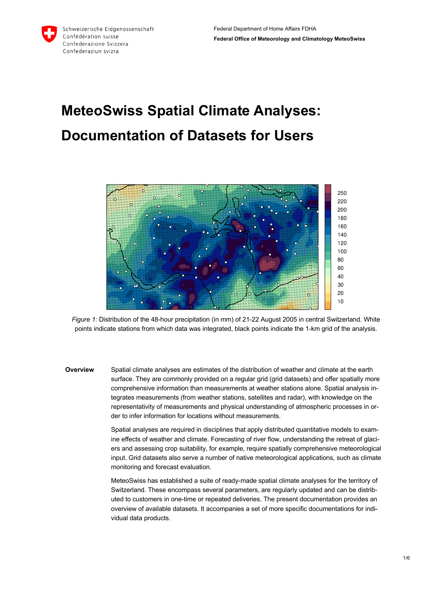# **MeteoSwiss Spatial Climate Analyses: Documentation of Datasets for Users**



*Figure 1:* Distribution of the 48-hour precipitation (in mm) of 21-22 August 2005 in central Switzerland. White points indicate stations from which data was integrated, black points indicate the 1-km grid of the analysis.

**Overview** Spatial climate analyses are estimates of the distribution of weather and climate at the earth surface. They are commonly provided on a regular grid (grid datasets) and offer spatially more comprehensive information than measurements at weather stations alone. Spatial analysis integrates measurements (from weather stations, satellites and radar), with knowledge on the representativity of measurements and physical understanding of atmospheric processes in order to infer information for locations without measurements.

> Spatial analyses are required in disciplines that apply distributed quantitative models to examine effects of weather and climate. Forecasting of river flow, understanding the retreat of glaciers and assessing crop suitability, for example, require spatially comprehensive meteorological input. Grid datasets also serve a number of native meteorological applications, such as climate monitoring and forecast evaluation.

MeteoSwiss has established a suite of ready-made spatial climate analyses for the territory of Switzerland. These encompass several parameters, are regularly updated and can be distributed to customers in one-time or repeated deliveries. The present documentation provides an overview of available datasets. It accompanies a set of more specific documentations for individual data products.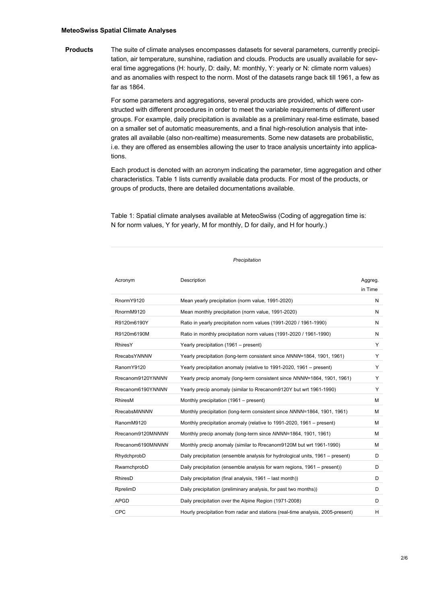### **MeteoSwiss Spatial Climate Analyses**

**Products** The suite of climate analyses encompasses datasets for several parameters, currently precipitation, air temperature, sunshine, radiation and clouds. Products are usually available for several time aggregations (H: hourly, D: daily, M: monthly, Y: yearly or N: climate norm values) and as anomalies with respect to the norm. Most of the datasets range back till 1961, a few as far as 1864.

> For some parameters and aggregations, several products are provided, which were constructed with different procedures in order to meet the variable requirements of different user groups. For example, daily precipitation is available as a preliminary real-time estimate, based on a smaller set of automatic measurements, and a final high-resolution analysis that integrates all available (also non-realtime) measurements. Some new datasets are probabilistic, i.e. they are offered as ensembles allowing the user to trace analysis uncertainty into applications.

> Each product is denoted with an acronym indicating the parameter, time aggregation and other characteristics. Table 1 lists currently available data products. For most of the products, or groups of products, there are detailed documentations available.

Table 1: Spatial climate analyses available at MeteoSwiss (Coding of aggregation time is: N for norm values, Y for yearly, M for monthly, D for daily, and H for hourly.)

| Acronym             | Description                                                                     | Aggreg. |
|---------------------|---------------------------------------------------------------------------------|---------|
|                     |                                                                                 | in Time |
| RnormY9120          | Mean yearly precipitation (norm value, 1991-2020)                               | N       |
| RnormM9120          | Mean monthly precipitation (norm value, 1991-2020)                              | N       |
| R9120m6190Y         | Ratio in yearly precipitation norm values (1991-2020 / 1961-1990)               | N       |
| R9120m6190M         | Ratio in monthly precipitation norm values (1991-2020 / 1961-1990)              | N       |
| <b>RhiresY</b>      | Yearly precipitation (1961 - present)                                           | Y       |
| <b>RrecabsYNNNN</b> | Yearly precipitation (long-term consistent since NNNN=1864, 1901, 1961)         | Y       |
| RanomY9120          | Yearly precipitation anomaly (relative to 1991-2020, 1961 – present)            | Y       |
| Rrecanom9120YNNNN   | Yearly precip anomaly (long-term consistent since NNNN=1864, 1901, 1961)        | Y       |
| Rrecanom6190YNNNN   | Yearly precip anomaly (similar to Rrecanom9120Y but wrt 1961-1990)              | Y       |
| RhiresM             | Monthly precipitation (1961 – present)                                          | м       |
| RrecabsMNNNN        | Monthly precipitation (long-term consistent since NNNN=1864, 1901, 1961)        | М       |
| RanomM9120          | Monthly precipitation anomaly (relative to 1991-2020, 1961 – present)           | М       |
| Rrecanom9120MNNNN   | Monthly precip anomaly (long-term since NNNN=1864, 1901, 1961)                  | м       |
| Rrecanom6190MNNNN   | Monthly precip anomaly (similar to Rrecanom9120M but wrt 1961-1990)             | м       |
| RhydchprobD         | Daily precipitation (ensemble analysis for hydrological units, 1961 – present)  | D       |
| RwarnchprobD        | Daily precipitation (ensemble analysis for warn regions, 1961 – present))       | D       |
| RhiresD             | Daily precipitation (final analysis, 1961 - last month))                        | D       |
| RprelimD            | Daily precipitation (preliminary analysis, for past two months))                | D       |
| APGD                | Daily precipitation over the Alpine Region (1971-2008)                          | D       |
| <b>CPC</b>          | Hourly precipitation from radar and stations (real-time analysis, 2005-present) | H       |
|                     |                                                                                 |         |

*Precipitation*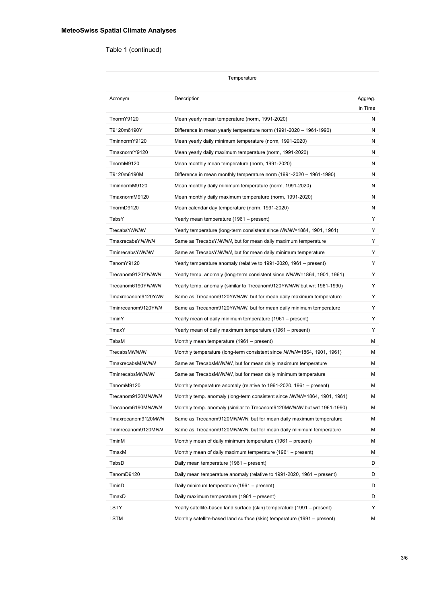## Table 1 (continued)

| Temperature         |                                                                          |                    |  |
|---------------------|--------------------------------------------------------------------------|--------------------|--|
| Acronym             | Description                                                              | Aggreg.<br>in Time |  |
| TnormY9120          | Mean yearly mean temperature (norm, 1991-2020)                           | N                  |  |
| T9120m6190Y         | Difference in mean yearly temperature norm (1991-2020 – 1961-1990)       | N                  |  |
| TminnormY9120       | Mean yearly daily minimum temperature (norm, 1991-2020)                  | N                  |  |
| TmaxnormY9120       | Mean yearly daily maximum temperature (norm, 1991-2020)                  | N                  |  |
| TnormM9120          | Mean monthly mean temperature (norm, 1991-2020)                          | N                  |  |
| T9120m6190M         | Difference in mean monthly temperature norm (1991-2020 – 1961-1990)      | N                  |  |
| TminnormM9120       | Mean monthly daily minimum temperature (norm, 1991-2020)                 | N                  |  |
| TmaxnormM9120       | Mean monthly daily maximum temperature (norm, 1991-2020)                 | N                  |  |
| TnormD9120          | Mean calendar day temperature (norm, 1991-2020)                          | N                  |  |
| TabsY               | Yearly mean temperature (1961 – present)                                 | Y                  |  |
| <b>TrecabsYNNNN</b> | Yearly temperature (long-term consistent since NNNN=1864, 1901, 1961)    | Y                  |  |
| TmaxrecabsYNNNN     | Same as TrecabsYNNNN, but for mean daily maximum temperature             | Y                  |  |
| TminrecabsYNNNN     | Same as TrecabsYNNNN, but for mean daily minimum temperature             | Y                  |  |
| TanomY9120          | Yearly temperature anomaly (relative to 1991-2020, 1961 – present)       | Y                  |  |
| Trecanom9120YNNNN   | Yearly temp. anomaly (long-term consistent since NNNN=1864, 1901, 1961)  | Y                  |  |
| Trecanom6190YNNNN   | Yearly temp. anomaly (similar to Trecanom9120YNNNN but wrt 1961-1990)    | Y                  |  |
| Tmaxrecanom9120YNN  | Same as Trecanom9120YNNNN, but for mean daily maximum temperature        | Y                  |  |
| Tminrecanom9120YNN  | Same as Trecanom9120YNNNN, but for mean daily minimum temperature        | Y                  |  |
| TminY               | Yearly mean of daily minimum temperature (1961 – present)                | Y                  |  |
| TmaxY               | Yearly mean of daily maximum temperature (1961 – present)                | Y                  |  |
| TabsM               | Monthly mean temperature (1961 - present)                                | м                  |  |
| TrecabsMNNNN        | Monthly temperature (long-term consistent since NNNN=1864, 1901, 1961)   | м                  |  |
| TmaxrecabsMNNNN     | Same as TrecabsMNNNN, but for mean daily maximum temperature             | м                  |  |
| TminrecabsMNNNN     | Same as TrecabsMNNNN, but for mean daily minimum temperature             | м                  |  |
| TanomM9120          | Monthly temperature anomaly (relative to 1991-2020, 1961 – present)      | м                  |  |
| Trecanom9120MNNNN   | Monthly temp. anomaly (long-term consistent since NNNN=1864, 1901, 1961) | м                  |  |
| Trecanom6190MNNNN   | Monthly temp. anomaly (similar to Trecanom9120MNNNN but wrt 1961-1990)   | м                  |  |
| Tmaxrecanom9120MNN  | Same as Trecanom9120MNNNN, but for mean daily maximum temperature        | м                  |  |
| Tminrecanom9120MNN  | Same as Trecanom9120MNNNN, but for mean daily minimum temperature        | м                  |  |
| TminM               | Monthly mean of daily minimum temperature (1961 – present)               | м                  |  |
| TmaxM               | Monthly mean of daily maximum temperature (1961 – present)               | м                  |  |
| TabsD               | Daily mean temperature (1961 - present)                                  | D                  |  |
| TanomD9120          | Daily mean temperature anomaly (relative to 1991-2020, 1961 – present)   | D                  |  |
| TminD               | Daily minimum temperature (1961 – present)                               | D                  |  |
| TmaxD               | Daily maximum temperature (1961 – present)                               | D                  |  |
| LSTY                | Yearly satellite-based land surface (skin) temperature (1991 – present)  | Y                  |  |
| LSTM                | Monthly satellite-based land surface (skin) temperature (1991 – present) | м                  |  |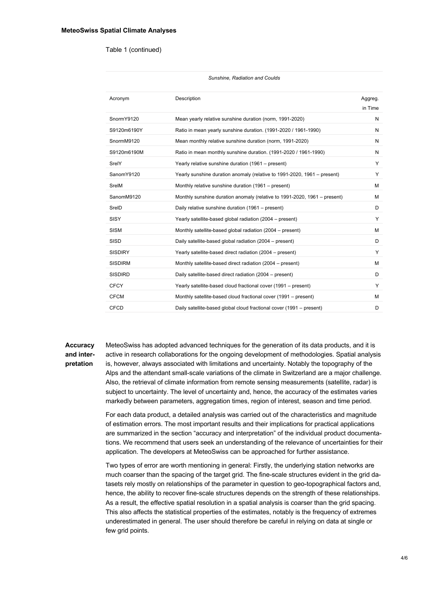#### Table 1 (continued)

| Sunshine, Radiation and Coulds |                                                                           |                    |
|--------------------------------|---------------------------------------------------------------------------|--------------------|
| Acronym                        | Description                                                               | Aggreg.<br>in Time |
| SnormY9120                     | Mean yearly relative sunshine duration (norm, 1991-2020)                  | N                  |
| S9120m6190Y                    | Ratio in mean yearly sunshine duration. (1991-2020 / 1961-1990)           | N                  |
| SnormM9120                     | Mean monthly relative sunshine duration (norm, 1991-2020)                 | N                  |
| S9120m6190M                    | Ratio in mean monthly sunshine duration. (1991-2020 / 1961-1990)          | N                  |
| SrelY                          | Yearly relative sunshine duration (1961 – present)                        | Y                  |
| SanomY9120                     | Yearly sunshine duration anomaly (relative to 1991-2020, 1961 – present)  | Y                  |
| SrelM                          | Monthly relative sunshine duration (1961 – present)                       | м                  |
| SanomM9120                     | Monthly sunshine duration anomaly (relative to 1991-2020, 1961 – present) | м                  |
| SreID                          | Daily relative sunshine duration (1961 – present)                         | D                  |
| <b>SISY</b>                    | Yearly satellite-based global radiation (2004 – present)                  | Y                  |
| <b>SISM</b>                    | Monthly satellite-based global radiation (2004 – present)                 | м                  |
| <b>SISD</b>                    | Daily satellite-based global radiation (2004 – present)                   | D                  |
| <b>SISDIRY</b>                 | Yearly satellite-based direct radiation (2004 – present)                  | Y                  |
| <b>SISDIRM</b>                 | Monthly satellite-based direct radiation (2004 – present)                 | м                  |
| <b>SISDIRD</b>                 | Daily satellite-based direct radiation (2004 – present)                   | D                  |
| <b>CFCY</b>                    | Yearly satellite-based cloud fractional cover (1991 – present)            | Y                  |
| <b>CFCM</b>                    | Monthly satellite-based cloud fractional cover (1991 – present)           | м                  |
| <b>CFCD</b>                    | Daily satellite-based global cloud fractional cover (1991 – present)      | D                  |

## **Accuracy and interpretation**

MeteoSwiss has adopted advanced techniques for the generation of its data products, and it is active in research collaborations for the ongoing development of methodologies. Spatial analysis is, however, always associated with limitations and uncertainty. Notably the topography of the Alps and the attendant small-scale variations of the climate in Switzerland are a major challenge. Also, the retrieval of climate information from remote sensing measurements (satellite, radar) is subject to uncertainty. The level of uncertainty and, hence, the accuracy of the estimates varies markedly between parameters, aggregation times, region of interest, season and time period.

For each data product, a detailed analysis was carried out of the characteristics and magnitude of estimation errors. The most important results and their implications for practical applications are summarized in the section "accuracy and interpretation" of the individual product documentations. We recommend that users seek an understanding of the relevance of uncertainties for their application. The developers at MeteoSwiss can be approached for further assistance.

Two types of error are worth mentioning in general: Firstly, the underlying station networks are much coarser than the spacing of the target grid. The fine-scale structures evident in the grid datasets rely mostly on relationships of the parameter in question to geo-topographical factors and, hence, the ability to recover fine-scale structures depends on the strength of these relationships. As a result, the effective spatial resolution in a spatial analysis is coarser than the grid spacing. This also affects the statistical properties of the estimates, notably is the frequency of extremes underestimated in general. The user should therefore be careful in relying on data at single or few grid points.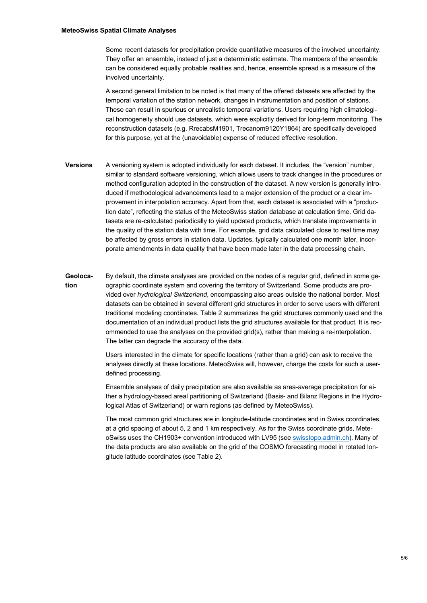Some recent datasets for precipitation provide quantitative measures of the involved uncertainty. They offer an ensemble, instead of just a deterministic estimate. The members of the ensemble can be considered equally probable realities and, hence, ensemble spread is a measure of the involved uncertainty.

A second general limitation to be noted is that many of the offered datasets are affected by the temporal variation of the station network, changes in instrumentation and position of stations. These can result in spurious or unrealistic temporal variations. Users requiring high climatological homogeneity should use datasets, which were explicitly derived for long-term monitoring. The reconstruction datasets (e.g. RrecabsM1901, Trecanom9120Y1864) are specifically developed for this purpose, yet at the (unavoidable) expense of reduced effective resolution.

- **Versions** A versioning system is adopted individually for each dataset. It includes, the "version" number, similar to standard software versioning, which allows users to track changes in the procedures or method configuration adopted in the construction of the dataset. A new version is generally introduced if methodological advancements lead to a major extension of the product or a clear improvement in interpolation accuracy. Apart from that, each dataset is associated with a "production date", reflecting the status of the MeteoSwiss station database at calculation time. Grid datasets are re-calculated periodically to yield updated products, which translate improvements in the quality of the station data with time. For example, grid data calculated close to real time may be affected by gross errors in station data. Updates, typically calculated one month later, incorporate amendments in data quality that have been made later in the data processing chain.
- **Geolocation** By default, the climate analyses are provided on the nodes of a regular grid, defined in some geographic coordinate system and covering the territory of Switzerland. Some products are provided over *hydrological Switzerland*, encompassing also areas outside the national border. Most datasets can be obtained in several different grid structures in order to serve users with different traditional modeling coordinates. Table 2 summarizes the grid structures commonly used and the documentation of an individual product lists the grid structures available for that product. It is recommended to use the analyses on the provided grid(s), rather than making a re-interpolation. The latter can degrade the accuracy of the data.

Users interested in the climate for specific locations (rather than a grid) can ask to receive the analyses directly at these locations. MeteoSwiss will, however, charge the costs for such a userdefined processing.

Ensemble analyses of daily precipitation are also available as area-average precipitation for either a hydrology-based areal partitioning of Switzerland (Basis- and Bilanz Regions in the Hydrological Atlas of Switzerland) or warn regions (as defined by MeteoSwiss).

The most common grid structures are in longitude-latitude coordinates and in Swiss coordinates, at a grid spacing of about 5, 2 and 1 km respectively. As for the Swiss coordinate grids, MeteoSwiss uses the CH1903+ convention introduced with LV95 (see swisstopo.admin.ch). Many of the data products are also available on the grid of the COSMO forecasting model in rotated longitude latitude coordinates (see Table 2).